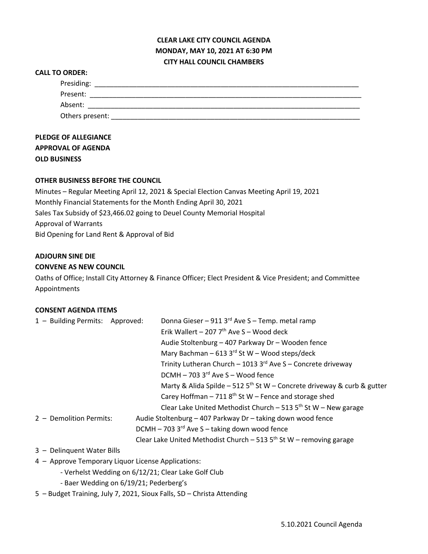# **CLEAR LAKE CITY COUNCIL AGENDA MONDAY, MAY 10, 2021 AT 6:30 PM CITY HALL COUNCIL CHAMBERS**

#### **CALL TO ORDER:**

| Presiding:      |  |
|-----------------|--|
| Present:        |  |
| Absent:         |  |
| Others present: |  |

## **PLEDGE OF ALLEGIANCE APPROVAL OF AGENDA OLD BUSINESS**

## **OTHER BUSINESS BEFORE THE COUNCIL**

Minutes – Regular Meeting April 12, 2021 & Special Election Canvas Meeting April 19, 2021 Monthly Financial Statements for the Month Ending April 30, 2021 Sales Tax Subsidy of \$23,466.02 going to Deuel County Memorial Hospital Approval of Warrants Bid Opening for Land Rent & Approval of Bid

#### **ADJOURN SINE DIE**

## **CONVENE AS NEW COUNCIL**

Oaths of Office; Install City Attorney & Finance Officer; Elect President & Vice President; and Committee Appointments

## **CONSENT AGENDA ITEMS**

| 1 - Building Permits: Approved: | Donna Gieser - 911 3rd Ave S - Temp. metal ramp                                     |
|---------------------------------|-------------------------------------------------------------------------------------|
|                                 | Erik Wallert - 207 $7th$ Ave S - Wood deck                                          |
|                                 | Audie Stoltenburg - 407 Parkway Dr - Wooden fence                                   |
|                                 | Mary Bachman - 613 3rd St W - Wood steps/deck                                       |
|                                 | Trinity Lutheran Church - 1013 3rd Ave S - Concrete driveway                        |
|                                 | $DCMH - 703$ 3 <sup>rd</sup> Ave S - Wood fence                                     |
|                                 | Marty & Alida Spilde – 512 5 <sup>th</sup> St W – Concrete driveway & curb & gutter |
|                                 | Carey Hoffman - 711 $8th$ St W - Fence and storage shed                             |
|                                 | Clear Lake United Methodist Church - 513 $5th$ St W - New garage                    |
| 2 - Demolition Permits:         | Audie Stoltenburg - 407 Parkway Dr - taking down wood fence                         |
|                                 | DCMH - 703 $3^{\text{rd}}$ Ave S - taking down wood fence                           |
|                                 | Clear Lake United Methodist Church - 513 $5th$ St W - removing garage               |
|                                 |                                                                                     |

- 3 Delinquent Water Bills
- 4 Approve Temporary Liquor License Applications:
	- Verhelst Wedding on 6/12/21; Clear Lake Golf Club
	- Baer Wedding on 6/19/21; Pederberg's
- 5 Budget Training, July 7, 2021, Sioux Falls, SD Christa Attending